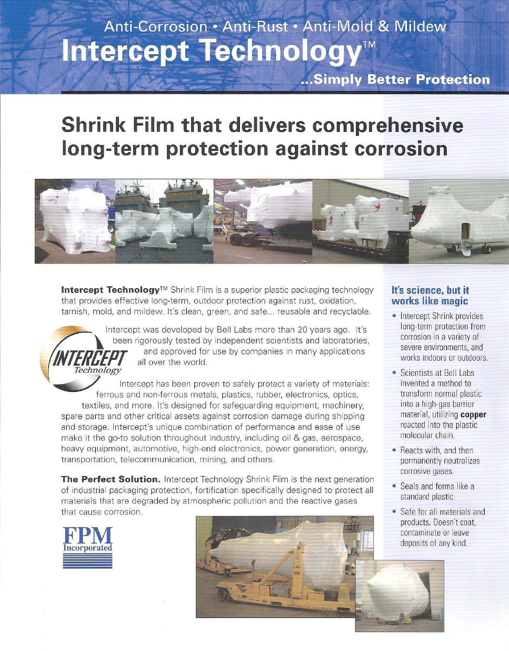# Anti-Corrosion · Anti-Rust · Anti-Mold & Mildew Intercept Technology<sup>™</sup>

...Simply Better Protection

## **Shrink Film that delivers comprehensive long-term protection against corrosion**



**Intercept Technology™** Shrink Film is a superior plastic packaging technology that provides effective long-term, outdoor protection against rust, oxidation, tarnish, mold, and mildew. It's clean, green, and safe ... reusable and recyclable.



Intercept was developed by Bell Labs more than 20 years ago. It's been rigorously tested by independent scientists and laboratories, and approved for use by companies in many applications all over the world.

Intercept has been proven to safely protect a variety of materials: ferrous and non-ferrous metals, plastics, rubber, electronics, optics, textiles, and more. It's designed for safeguarding equipment, machinery, spare parts and other critical assets against corrosion damage during shipping and storage. lntercept's unique combination of performance and ease of use make it the go-to solution throughout industry, including oil & gas, aerospace, heavy equipment, automotive, high-end electronics, power generation, energy, transportation, telecommunication, mining, and others.

**The Perfect Solution.** Intercept Technology Shrink Film is the next generation of industrial packaging protection, fortification specifically designed to protect all materials that are degraded by atmospheric pollution and the reactive gases that cause corrosion.





#### **It's science, but it works like magic**

- Intercept Shrink provides long-term protection from corrosion in a variety of severe environments, and works indoors or outdoors.
- Scientists at Bell Labs invented a method to transform normal plastic into a high-gas barrier material, utilizing **copper**  reacted into the plastic molecular chain.
- Reacts with, and then permanently neutralizes corrosive gases.
- Seals and forms like a standard plastic.
- Safe for all materials and products. Doesn't coat contaminate or leave deposits of any kind.